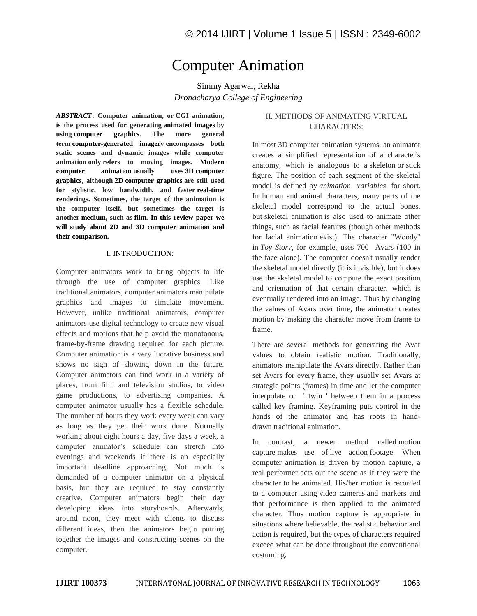# Computer Animation

Simmy Agarwal, Rekha *Dronacharya College of Engineering* 

*ABSTRACT***: Computer animation, or CGI animation, is the process used for generating animated images by using computer graphics. The more general term computer-generated imagery encompasses both static scenes and dynamic images while computer animation only refers to moving images. Modern computer animation usually uses 3D computer graphics, although 2D computer graphics are still used for stylistic, low bandwidth, and faster real-time renderings. Sometimes, the target of the animation is the computer itself, but sometimes the target is another medium, such as film. In this review paper we will study about 2D and 3D computer animation and their comparison.** 

## I. INTRODUCTION:

Computer animators work to bring objects to life through the use of computer graphics. Like traditional animators, computer animators manipulate graphics and images to simulate movement. However, unlike traditional animators, computer animators use digital technology to create new visual effects and motions that help avoid the monotonous, frame-by-frame drawing required for each picture. Computer animation is a very lucrative business and shows no sign of slowing down in the future. Computer animators can find work in a variety of places, from film and television studios, to video game productions, to advertising companies. A computer animator usually has a flexible schedule. The number of hours they work every week can vary as long as they get their work done. Normally working about eight hours a day, five days a week, a computer animator's schedule can stretch into evenings and weekends if there is an especially important deadline approaching. Not much is demanded of a computer animator on a physical basis, but they are required to stay constantly creative. Computer animators begin their day developing ideas into storyboards. Afterwards, around noon, they meet with clients to discuss different ideas, then the animators begin putting together the images and constructing scenes on the computer.

# II. METHODS OF ANIMATING VIRTUAL CHARACTERS:

In most 3D computer animation systems, an animator creates a simplified representation of a character's anatomy, which is analogous to a skeleton or stick figure. The position of each segment of the skeletal model is defined by *animation variables* for short. In human and animal characters, many parts of the skeletal model correspond to the actual bones, but skeletal animation is also used to animate other things, such as facial features (though other methods for facial animation exist). The character "Woody" in *Toy Story*, for example, uses 700 Avars (100 in the face alone). The computer doesn't usually render the skeletal model directly (it is invisible), but it does use the skeletal model to compute the exact position and orientation of that certain character, which is eventually rendered into an image. Thus by changing the values of Avars over time, the animator creates motion by making the character move from frame to frame.

There are several methods for generating the Avar values to obtain realistic motion. Traditionally, animators manipulate the Avars directly. Rather than set Avars for every frame, they usually set Avars at strategic points (frames) in time and let the computer interpolate or ' twin ' between them in a process called key framing. Keyframing puts control in the hands of the animator and has roots in handdrawn traditional animation.

In contrast, a newer method called motion capture makes use of live action footage. When computer animation is driven by motion capture, a real performer acts out the scene as if they were the character to be animated. His/her motion is recorded to a computer using video cameras and markers and that performance is then applied to the animated character. Thus motion capture is appropriate in situations where believable, the realistic behavior and action is required, but the types of characters required exceed what can be done throughout the conventional costuming.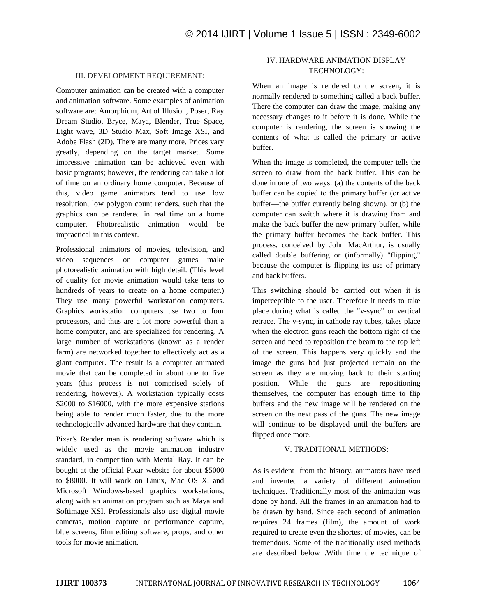#### III. DEVELOPMENT REQUIREMENT:

Computer animation can be created with a computer and animation software. Some examples of animation software are: Amorphium, Art of Illusion, Poser, Ray Dream Studio, Bryce, Maya, Blender, True Space, Light wave, 3D Studio Max, Soft Image XSI, and Adobe Flash (2D). There are many more. Prices vary greatly, depending on the target market. Some impressive animation can be achieved even with basic programs; however, the rendering can take a lot of time on an ordinary home computer. Because of this, video game animators tend to use low resolution, low polygon count renders, such that the graphics can be rendered in real time on a home computer. Photorealistic animation would be impractical in this context.

Professional animators of movies, television, and video sequences on computer games make photorealistic animation with high detail. (This level of quality for movie animation would take tens to hundreds of years to create on a home computer.) They use many powerful workstation computers. Graphics workstation computers use two to four processors, and thus are a lot more powerful than a home computer, and are specialized for rendering. A large number of workstations (known as a render farm) are networked together to effectively act as a giant computer. The result is a computer animated movie that can be completed in about one to five years (this process is not comprised solely of rendering, however). A workstation typically costs \$2000 to \$16000, with the more expensive stations being able to render much faster, due to the more technologically advanced hardware that they contain.

Pixar's Render man is rendering software which is widely used as the movie animation industry standard, in competition with Mental Ray. It can be bought at the official Pixar website for about \$5000 to \$8000. It will work on Linux, Mac OS X, and Microsoft Windows-based graphics workstations, along with an animation program such as Maya and Softimage XSI. Professionals also use digital movie cameras, motion capture or performance capture, blue screens, film editing software, props, and other tools for movie animation.

# IV. HARDWARE ANIMATION DISPLAY TECHNOLOGY:

When an image is rendered to the screen, it is normally rendered to something called a back buffer. There the computer can draw the image, making any necessary changes to it before it is done. While the computer is rendering, the screen is showing the contents of what is called the primary or active buffer.

When the image is completed, the computer tells the screen to draw from the back buffer. This can be done in one of two ways: (a) the contents of the back buffer can be copied to the primary buffer (or active buffer—the buffer currently being shown), or (b) the computer can switch where it is drawing from and make the back buffer the new primary buffer, while the primary buffer becomes the back buffer. This process, conceived by John MacArthur, is usually called double buffering or (informally) "flipping," because the computer is flipping its use of primary and back buffers.

This switching should be carried out when it is imperceptible to the user. Therefore it needs to take place during what is called the "v-sync" or vertical retrace. The v-sync, in cathode ray tubes, takes place when the electron guns reach the bottom right of the screen and need to reposition the beam to the top left of the screen. This happens very quickly and the image the guns had just projected remain on the screen as they are moving back to their starting position. While the guns are repositioning themselves, the computer has enough time to flip buffers and the new image will be rendered on the screen on the next pass of the guns. The new image will continue to be displayed until the buffers are flipped once more.

#### V. TRADITIONAL METHODS:

As is evident from the history, animators have used and invented a variety of different animation techniques. Traditionally most of the animation was done by hand. All the frames in an animation had to be drawn by hand. Since each second of animation requires 24 frames (film), the amount of work required to create even the shortest of movies, can be tremendous. Some of the traditionally used methods are described below .With time the technique of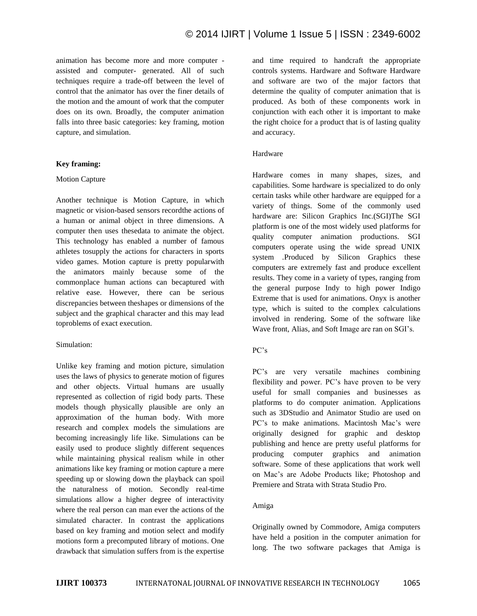animation has become more and more computer assisted and computer- generated. All of such techniques require a trade-off between the level of control that the animator has over the finer details of the motion and the amount of work that the computer does on its own. Broadly, the computer animation falls into three basic categories: key framing, motion capture, and simulation.

## **Key framing:**

#### Motion Capture

Another technique is Motion Capture, in which magnetic or vision-based sensors recordthe actions of a human or animal object in three dimensions. A computer then uses thesedata to animate the object. This technology has enabled a number of famous athletes tosupply the actions for characters in sports video games. Motion capture is pretty popularwith the animators mainly because some of the commonplace human actions can becaptured with relative ease. However, there can be serious discrepancies between theshapes or dimensions of the subject and the graphical character and this may lead toproblems of exact execution.

#### Simulation:

Unlike key framing and motion picture, simulation uses the laws of physics to generate motion of figures and other objects. Virtual humans are usually represented as collection of rigid body parts. These models though physically plausible are only an approximation of the human body. With more research and complex models the simulations are becoming increasingly life like. Simulations can be easily used to produce slightly different sequences while maintaining physical realism while in other animations like key framing or motion capture a mere speeding up or slowing down the playback can spoil the naturalness of motion. Secondly real-time simulations allow a higher degree of interactivity where the real person can man ever the actions of the simulated character. In contrast the applications based on key framing and motion select and modify motions form a precomputed library of motions. One drawback that simulation suffers from is the expertise

and time required to handcraft the appropriate controls systems. Hardware and Software Hardware and software are two of the major factors that determine the quality of computer animation that is produced. As both of these components work in conjunction with each other it is important to make the right choice for a product that is of lasting quality and accuracy.

#### Hardware

Hardware comes in many shapes, sizes, and capabilities. Some hardware is specialized to do only certain tasks while other hardware are equipped for a variety of things. Some of the commonly used hardware are: Silicon Graphics Inc.(SGI)The SGI platform is one of the most widely used platforms for quality computer animation productions. SGI computers operate using the wide spread UNIX system .Produced by Silicon Graphics these computers are extremely fast and produce excellent results. They come in a variety of types, ranging from the general purpose Indy to high power Indigo Extreme that is used for animations. Onyx is another type, which is suited to the complex calculations involved in rendering. Some of the software like Wave front, Alias, and Soft Image are ran on SGI's.

## PC's

PC's are very versatile machines combining flexibility and power. PC's have proven to be very useful for small companies and businesses as platforms to do computer animation. Applications such as 3DStudio and Animator Studio are used on PC's to make animations. Macintosh Mac's were originally designed for graphic and desktop publishing and hence are pretty useful platforms for producing computer graphics and animation software. Some of these applications that work well on Mac's are Adobe Products like; Photoshop and Premiere and Strata with Strata Studio Pro.

#### Amiga

Originally owned by Commodore, Amiga computers have held a position in the computer animation for long. The two software packages that Amiga is